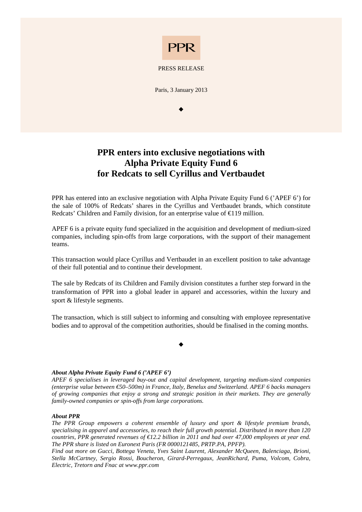

## PRESS RELEASE

Paris, 3 January 2013

 $\bullet$ 

## **PPR enters into exclusive negotiations with Alpha Private Equity Fund 6 for Redcats to sell Cyrillus and Vertbaudet**

PPR has entered into an exclusive negotiation with Alpha Private Equity Fund 6 ('APEF 6') for the sale of 100% of Redcats' shares in the Cyrillus and Vertbaudet brands, which constitute Redcats' Children and Family division, for an enterprise value of  $\epsilon$ 119 million.

APEF 6 is a private equity fund specialized in the acquisition and development of medium-sized companies, including spin-offs from large corporations, with the support of their management teams.

This transaction would place Cyrillus and Vertbaudet in an excellent position to take advantage of their full potential and to continue their development.

The sale by Redcats of its Children and Family division constitutes a further step forward in the transformation of PPR into a global leader in apparel and accessories, within the luxury and sport & lifestyle segments.

The transaction, which is still subject to informing and consulting with employee representative bodies and to approval of the competition authorities, should be finalised in the coming months.

 $\bullet$ 

## *About Alpha Private Equity Fund 6 ('APEF 6')*

*APEF 6 specialises in leveraged buy-out and capital development, targeting medium-sized companies (enterprise value between €50–500m) in France, Italy, Benelux and Switzerland. APEF 6 backs managers of growing companies that enjoy a strong and strategic position in their markets. They are generally family-owned companies or spin-offs from large corporations.* 

## *About PPR*

*The PPR Group empowers a coherent ensemble of luxury and sport & lifestyle premium brands, specialising in apparel and accessories, to reach their full growth potential. Distributed in more than 120 countries, PPR generated revenues of €12.2 billion in 2011 and had over 47,000 employees at year end. The PPR share is listed on Euronext Paris (FR 0000121485, PRTP.PA, PPFP).* 

*Find out more on Gucci, Bottega Veneta, Yves Saint Laurent, Alexander McQueen, Balenciaga, Brioni, Stella McCartney, Sergio Rossi, Boucheron, Girard-Perregaux, JeanRichard, Puma, Volcom, Cobra, Electric, Tretorn and Fnac at www.ppr.com*